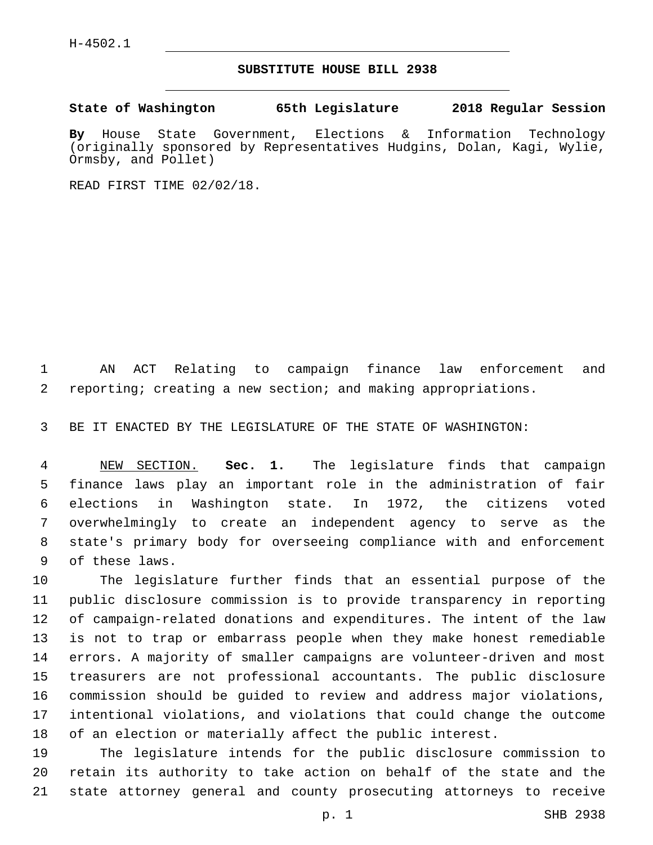H-4502.1

## **SUBSTITUTE HOUSE BILL 2938**

**State of Washington 65th Legislature 2018 Regular Session**

**By** House State Government, Elections & Information Technology (originally sponsored by Representatives Hudgins, Dolan, Kagi, Wylie, Ormsby, and Pollet)

READ FIRST TIME 02/02/18.

 AN ACT Relating to campaign finance law enforcement and reporting; creating a new section; and making appropriations.

BE IT ENACTED BY THE LEGISLATURE OF THE STATE OF WASHINGTON:

 NEW SECTION. **Sec. 1.** The legislature finds that campaign finance laws play an important role in the administration of fair elections in Washington state. In 1972, the citizens voted overwhelmingly to create an independent agency to serve as the state's primary body for overseeing compliance with and enforcement of these laws.

 The legislature further finds that an essential purpose of the public disclosure commission is to provide transparency in reporting of campaign-related donations and expenditures. The intent of the law is not to trap or embarrass people when they make honest remediable errors. A majority of smaller campaigns are volunteer-driven and most treasurers are not professional accountants. The public disclosure commission should be guided to review and address major violations, intentional violations, and violations that could change the outcome of an election or materially affect the public interest.

 The legislature intends for the public disclosure commission to retain its authority to take action on behalf of the state and the state attorney general and county prosecuting attorneys to receive